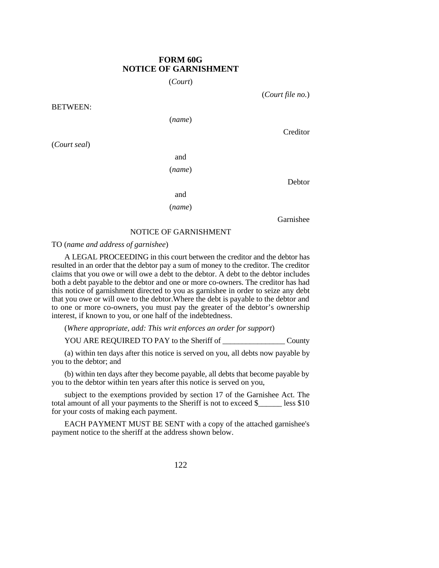# **FORM 60G NOTICE OF GARNISHMENT**

(*Court*)

(*Court file no.*)

Creditor

BETWEEN:

(*name*)

(*Court seal*)

and (*name*) and

Garnishee

Debtor

#### NOTICE OF GARNISHMENT

(*name*)

#### TO (*name and address of garnishee*)

A LEGAL PROCEEDING in this court between the creditor and the debtor has resulted in an order that the debtor pay a sum of money to the creditor. The creditor claims that you owe or will owe a debt to the debtor. A debt to the debtor includes both a debt payable to the debtor and one or more co-owners. The creditor has had this notice of garnishment directed to you as garnishee in order to seize any debt that you owe or will owe to the debtor.Where the debt is payable to the debtor and to one or more co-owners, you must pay the greater of the debtor's ownership interest, if known to you, or one half of the indebtedness.

(*Where appropriate, add: This writ enforces an order for support*)

YOU ARE REQUIRED TO PAY to the Sheriff of County

(a) within ten days after this notice is served on you, all debts now payable by you to the debtor; and

(b) within ten days after they become payable, all debts that become payable by you to the debtor within ten years after this notice is served on you,

subject to the exemptions provided by section 17 of the Garnishee Act. The total amount of all your payments to the Sheriff is not to exceed \$\_\_\_\_\_\_ less \$10 for your costs of making each payment.

EACH PAYMENT MUST BE SENT with a copy of the attached garnishee's payment notice to the sheriff at the address shown below.